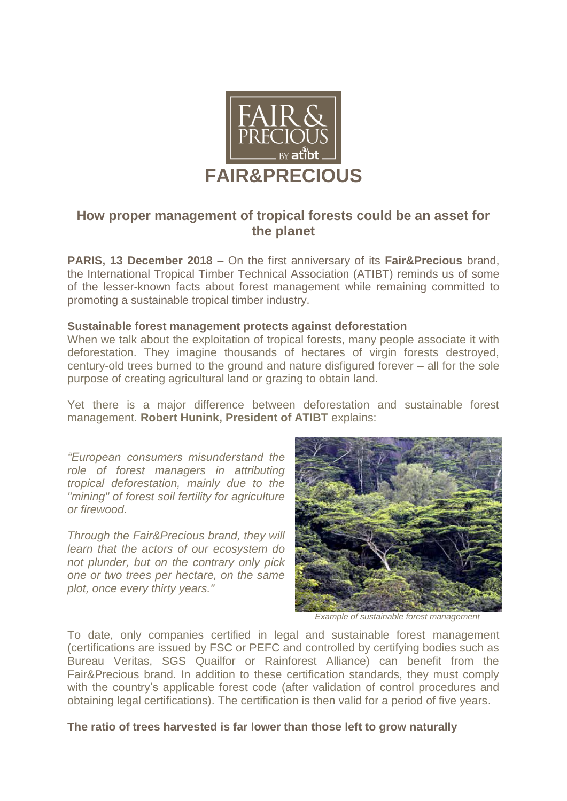

# **How proper management of tropical forests could be an asset for the planet**

**PARIS, 13 December 2018 –** On the first anniversary of its **Fair&Precious** brand, the International Tropical Timber Technical Association (ATIBT) reminds us of some of the lesser-known facts about forest management while remaining committed to promoting a sustainable tropical timber industry.

### **Sustainable forest management protects against deforestation**

When we talk about the exploitation of tropical forests, many people associate it with deforestation. They imagine thousands of hectares of virgin forests destroyed, century-old trees burned to the ground and nature disfigured forever – all for the sole purpose of creating agricultural land or grazing to obtain land.

Yet there is a major difference between deforestation and sustainable forest management. **Robert Hunink, President of ATIBT** explains:

*"European consumers misunderstand the role of forest managers in attributing tropical deforestation, mainly due to the "mining" of forest soil fertility for agriculture or firewood.* 

*Through the Fair&Precious brand, they will learn that the actors of our ecosystem do not plunder, but on the contrary only pick one or two trees per hectare, on the same plot, once every thirty years."*



*Example of sustainable forest management*

To date, only companies certified in legal and sustainable forest management (certifications are issued by FSC or PEFC and controlled by certifying bodies such as Bureau Veritas, SGS Quailfor or Rainforest Alliance) can benefit from the Fair&Precious brand. In addition to these certification standards, they must comply with the country's applicable forest code (after validation of control procedures and obtaining legal certifications). The certification is then valid for a period of five years.

**The ratio of trees harvested is far lower than those left to grow naturally**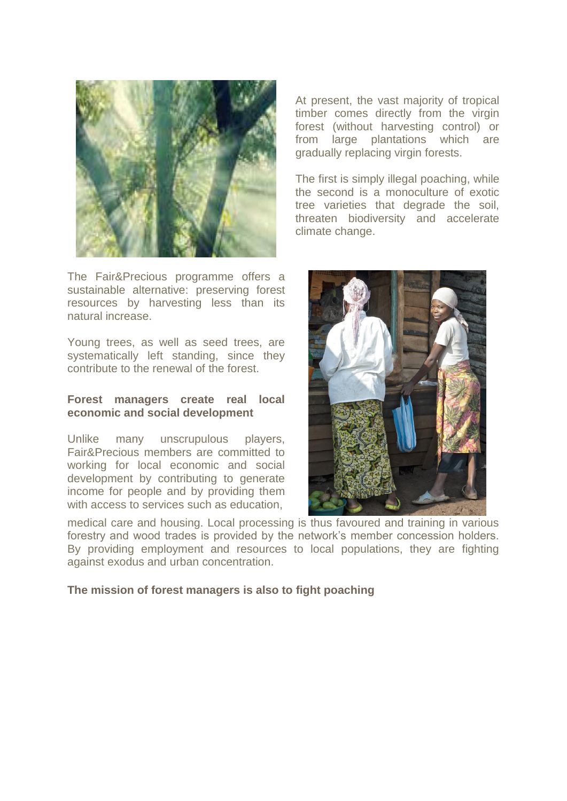

The Fair&Precious programme offers a sustainable alternative: preserving forest resources by harvesting less than its natural increase.

Young trees, as well as seed trees, are systematically left standing, since they contribute to the renewal of the forest.

### **Forest managers create real local economic and social development**

Unlike many unscrupulous players, Fair&Precious members are committed to working for local economic and social development by contributing to generate income for people and by providing them with access to services such as education,

medical care and housing. Local processing is thus favoured and training in various forestry and wood trades is provided by the network's member concession holders. By providing employment and resources to local populations, they are fighting against exodus and urban concentration.

### **The mission of forest managers is also to fight poaching**

At present, the vast majority of tropical timber comes directly from the virgin forest (without harvesting control) or from large plantations which are gradually replacing virgin forests.

The first is simply illegal poaching, while the second is a monoculture of exotic tree varieties that degrade the soil, threaten biodiversity and accelerate climate change.